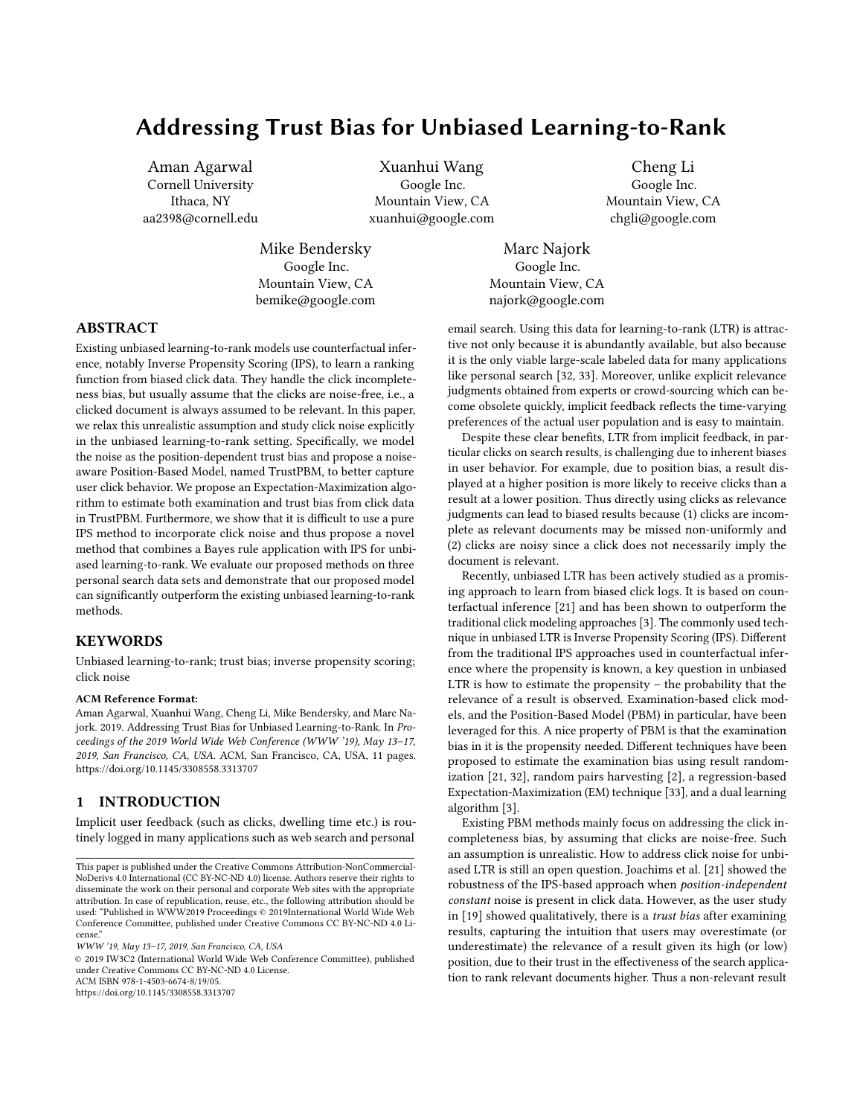# Addressing Trust Bias for Unbiased Learning-to-Rank

Aman Agarwal Cornell University Ithaca, NY aa2398@cornell.edu

Xuanhui Wang Google Inc. Mountain View, CA xuanhui@google.com

Cheng Li Google Inc. Mountain View, CA chgli@google.com

Mike Bendersky Google Inc. Mountain View, CA bemike@google.com

Marc Najork Google Inc. Mountain View, CA najork@google.com

# ABSTRACT

Existing unbiased learning-to-rank models use counterfactual inference, notably Inverse Propensity Scoring (IPS), to learn a ranking function from biased click data. They handle the click incompleteness bias, but usually assume that the clicks are noise-free, i.e., a clicked document is always assumed to be relevant. In this paper, we relax this unrealistic assumption and study click noise explicitly in the unbiased learning-to-rank setting. Specifically, we model the noise as the position-dependent trust bias and propose a noiseaware Position-Based Model, named TrustPBM, to better capture user click behavior. We propose an Expectation-Maximization algorithm to estimate both examination and trust bias from click data in TrustPBM. Furthermore, we show that it is difficult to use a pure IPS method to incorporate click noise and thus propose a novel method that combines a Bayes rule application with IPS for unbiased learning-to-rank. We evaluate our proposed methods on three personal search data sets and demonstrate that our proposed model can significantly outperform the existing unbiased learning-to-rank methods.

# **KEYWORDS**

Unbiased learning-to-rank; trust bias; inverse propensity scoring; click noise

#### ACM Reference Format:

Aman Agarwal, Xuanhui Wang, Cheng Li, Mike Bendersky, and Marc Najork. 2019. Addressing Trust Bias for Unbiased Learning-to-Rank. In Proceedings of the 2019 World Wide Web Conference (WWW '19), May 13–17, 2019, San Francisco, CA, USA. ACM, San Francisco, CA, USA, [11](#page-10-0) pages. <https://doi.org/10.1145/3308558.3313707>

# 1 INTRODUCTION

Implicit user feedback (such as clicks, dwelling time etc.) is routinely logged in many applications such as web search and personal

© 2019 IW3C2 (International World Wide Web Conference Committee), published under Creative Commons CC BY-NC-ND 4.0 License.

ACM ISBN 978-1-4503-6674-8/19/05.

<https://doi.org/10.1145/3308558.3313707>

email search. Using this data for learning-to-rank (LTR) is attractive not only because it is abundantly available, but also because it is the only viable large-scale labeled data for many applications like personal search [\[32,](#page-10-1) [33\]](#page-10-2). Moreover, unlike explicit relevance judgments obtained from experts or crowd-sourcing which can become obsolete quickly, implicit feedback reflects the time-varying preferences of the actual user population and is easy to maintain.

Despite these clear benefits, LTR from implicit feedback, in particular clicks on search results, is challenging due to inherent biases in user behavior. For example, due to position bias, a result displayed at a higher position is more likely to receive clicks than a result at a lower position. Thus directly using clicks as relevance judgments can lead to biased results because (1) clicks are incomplete as relevant documents may be missed non-uniformly and (2) clicks are noisy since a click does not necessarily imply the document is relevant.

Recently, unbiased LTR has been actively studied as a promising approach to learn from biased click logs. It is based on counterfactual inference [\[21\]](#page-10-3) and has been shown to outperform the traditional click modeling approaches [\[3\]](#page-9-0). The commonly used technique in unbiased LTR is Inverse Propensity Scoring (IPS). Different from the traditional IPS approaches used in counterfactual inference where the propensity is known, a key question in unbiased LTR is how to estimate the propensity – the probability that the relevance of a result is observed. Examination-based click models, and the Position-Based Model (PBM) in particular, have been leveraged for this. A nice property of PBM is that the examination bias in it is the propensity needed. Different techniques have been proposed to estimate the examination bias using result randomization [\[21,](#page-10-3) [32\]](#page-10-1), random pairs harvesting [\[2\]](#page-9-1), a regression-based Expectation-Maximization (EM) technique [\[33\]](#page-10-2), and a dual learning algorithm [\[3\]](#page-9-0).

Existing PBM methods mainly focus on addressing the click incompleteness bias, by assuming that clicks are noise-free. Such an assumption is unrealistic. How to address click noise for unbiased LTR is still an open question. Joachims et al. [\[21\]](#page-10-3) showed the robustness of the IPS-based approach when position-independent constant noise is present in click data. However, as the user study in [\[19\]](#page-9-2) showed qualitatively, there is a trust bias after examining results, capturing the intuition that users may overestimate (or underestimate) the relevance of a result given its high (or low) position, due to their trust in the effectiveness of the search application to rank relevant documents higher. Thus a non-relevant result

This paper is published under the Creative Commons Attribution-NonCommercial-NoDerivs 4.0 International (CC BY-NC-ND 4.0) license. Authors reserve their rights to disseminate the work on their personal and corporate Web sites with the appropriate attribution. In case of republication, reuse, etc., the following attribution should be used: "Published in WWW2019 Proceedings © 2019International World Wide Web Conference Committee, published under Creative Commons CC BY-NC-ND 4.0 License."

WWW '19, May 13–17, 2019, San Francisco, CA, USA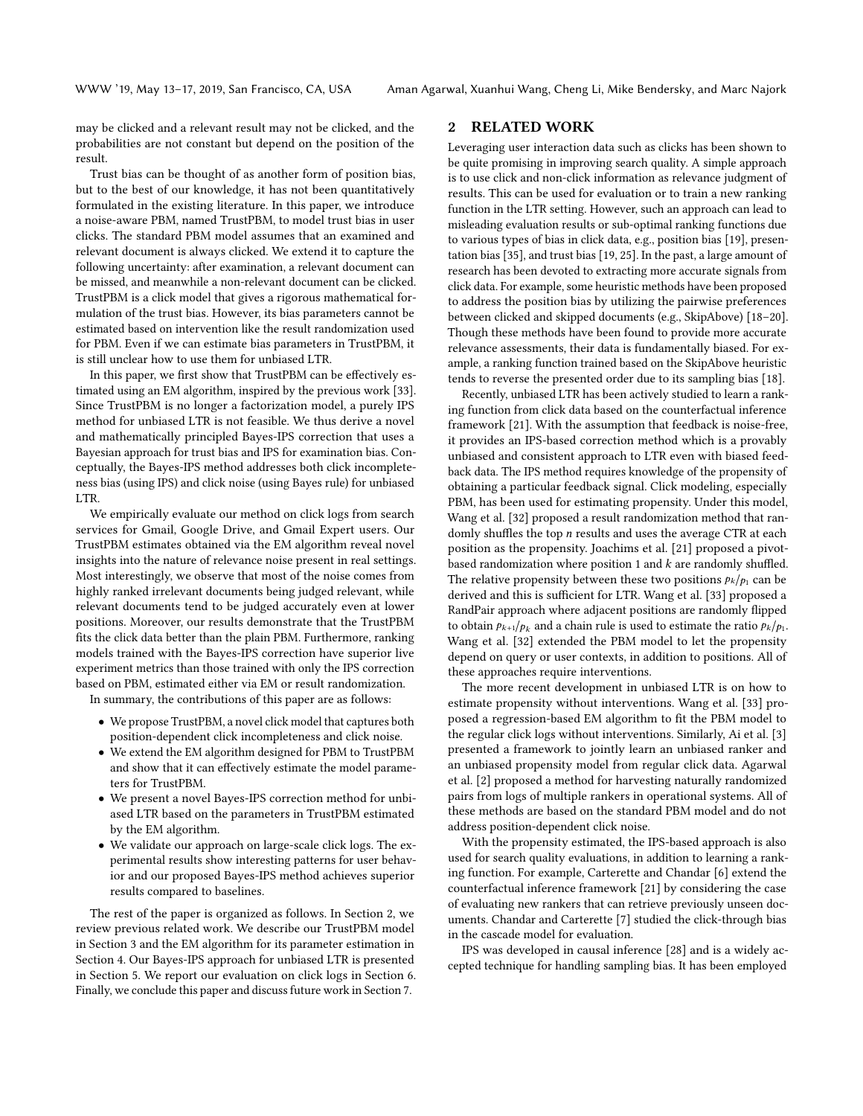may be clicked and a relevant result may not be clicked, and the probabilities are not constant but depend on the position of the result.

Trust bias can be thought of as another form of position bias, but to the best of our knowledge, it has not been quantitatively formulated in the existing literature. In this paper, we introduce a noise-aware PBM, named TrustPBM, to model trust bias in user clicks. The standard PBM model assumes that an examined and relevant document is always clicked. We extend it to capture the following uncertainty: after examination, a relevant document can be missed, and meanwhile a non-relevant document can be clicked. TrustPBM is a click model that gives a rigorous mathematical formulation of the trust bias. However, its bias parameters cannot be estimated based on intervention like the result randomization used for PBM. Even if we can estimate bias parameters in TrustPBM, it is still unclear how to use them for unbiased LTR.

In this paper, we first show that TrustPBM can be effectively estimated using an EM algorithm, inspired by the previous work [\[33\]](#page-10-2). Since TrustPBM is no longer a factorization model, a purely IPS method for unbiased LTR is not feasible. We thus derive a novel and mathematically principled Bayes-IPS correction that uses a Bayesian approach for trust bias and IPS for examination bias. Conceptually, the Bayes-IPS method addresses both click incompleteness bias (using IPS) and click noise (using Bayes rule) for unbiased LTR.

We empirically evaluate our method on click logs from search services for Gmail, Google Drive, and Gmail Expert users. Our TrustPBM estimates obtained via the EM algorithm reveal novel insights into the nature of relevance noise present in real settings. Most interestingly, we observe that most of the noise comes from highly ranked irrelevant documents being judged relevant, while relevant documents tend to be judged accurately even at lower positions. Moreover, our results demonstrate that the TrustPBM fits the click data better than the plain PBM. Furthermore, ranking models trained with the Bayes-IPS correction have superior live experiment metrics than those trained with only the IPS correction based on PBM, estimated either via EM or result randomization.

In summary, the contributions of this paper are as follows:

- We propose TrustPBM, a novel click model that captures both position-dependent click incompleteness and click noise.
- We extend the EM algorithm designed for PBM to TrustPBM and show that it can effectively estimate the model parameters for TrustPBM.
- We present a novel Bayes-IPS correction method for unbiased LTR based on the parameters in TrustPBM estimated by the EM algorithm.
- We validate our approach on large-scale click logs. The experimental results show interesting patterns for user behavior and our proposed Bayes-IPS method achieves superior results compared to baselines.

The rest of the paper is organized as follows. In Section [2,](#page-1-0) we review previous related work. We describe our TrustPBM model in Section [3](#page-2-0) and the EM algorithm for its parameter estimation in Section [4.](#page-3-0) Our Bayes-IPS approach for unbiased LTR is presented in Section [5.](#page-4-0) We report our evaluation on click logs in Section [6.](#page-5-0) Finally, we conclude this paper and discuss future work in Section [7.](#page-9-3)

# <span id="page-1-0"></span>2 RELATED WORK

Leveraging user interaction data such as clicks has been shown to be quite promising in improving search quality. A simple approach is to use click and non-click information as relevance judgment of results. This can be used for evaluation or to train a new ranking function in the LTR setting. However, such an approach can lead to misleading evaluation results or sub-optimal ranking functions due to various types of bias in click data, e.g., position bias [\[19\]](#page-9-2), presentation bias [\[35\]](#page-10-4), and trust bias [\[19,](#page-9-2) [25\]](#page-10-5). In the past, a large amount of research has been devoted to extracting more accurate signals from click data. For example, some heuristic methods have been proposed to address the position bias by utilizing the pairwise preferences between clicked and skipped documents (e.g., SkipAbove) [\[18](#page-9-4)[–20\]](#page-10-6). Though these methods have been found to provide more accurate relevance assessments, their data is fundamentally biased. For example, a ranking function trained based on the SkipAbove heuristic tends to reverse the presented order due to its sampling bias [\[18\]](#page-9-4).

Recently, unbiased LTR has been actively studied to learn a ranking function from click data based on the counterfactual inference framework [\[21\]](#page-10-3). With the assumption that feedback is noise-free, it provides an IPS-based correction method which is a provably unbiased and consistent approach to LTR even with biased feedback data. The IPS method requires knowledge of the propensity of obtaining a particular feedback signal. Click modeling, especially PBM, has been used for estimating propensity. Under this model, Wang et al. [\[32\]](#page-10-1) proposed a result randomization method that randomly shuffles the top n results and uses the average CTR at each position as the propensity. Joachims et al. [\[21\]](#page-10-3) proposed a pivotbased randomization where position 1 and  $k$  are randomly shuffled. The relative propensity between these two positions  $p_k/p_1$  can be derived and this is sufficient for LTR. Wang et al. [\[33\]](#page-10-2) proposed a RandPair approach where adjacent positions are randomly flipped to obtain  $p_{k+1}/p_k$  and a chain rule is used to estimate the ratio  $p_k/p_1$ . Wang et al. [\[32\]](#page-10-1) extended the PBM model to let the propensity depend on query or user contexts, in addition to positions. All of these approaches require interventions.

The more recent development in unbiased LTR is on how to estimate propensity without interventions. Wang et al. [\[33\]](#page-10-2) proposed a regression-based EM algorithm to fit the PBM model to the regular click logs without interventions. Similarly, Ai et al. [\[3\]](#page-9-0) presented a framework to jointly learn an unbiased ranker and an unbiased propensity model from regular click data. Agarwal et al. [\[2\]](#page-9-1) proposed a method for harvesting naturally randomized pairs from logs of multiple rankers in operational systems. All of these methods are based on the standard PBM model and do not address position-dependent click noise.

With the propensity estimated, the IPS-based approach is also used for search quality evaluations, in addition to learning a ranking function. For example, Carterette and Chandar [\[6\]](#page-9-5) extend the counterfactual inference framework [\[21\]](#page-10-3) by considering the case of evaluating new rankers that can retrieve previously unseen documents. Chandar and Carterette [\[7\]](#page-9-6) studied the click-through bias in the cascade model for evaluation.

IPS was developed in causal inference [\[28\]](#page-10-7) and is a widely accepted technique for handling sampling bias. It has been employed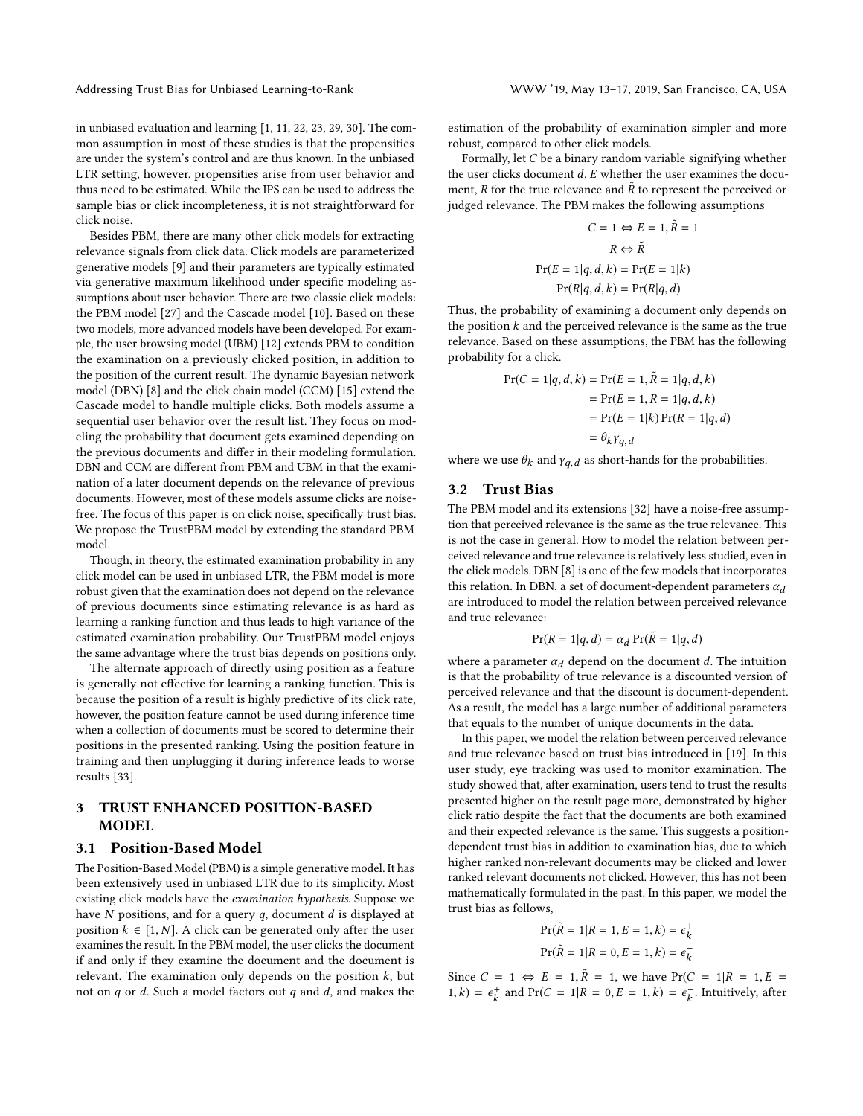in unbiased evaluation and learning [\[1,](#page-9-7) [11,](#page-9-8) [22,](#page-10-8) [23,](#page-10-9) [29,](#page-10-10) [30\]](#page-10-11). The common assumption in most of these studies is that the propensities are under the system's control and are thus known. In the unbiased LTR setting, however, propensities arise from user behavior and thus need to be estimated. While the IPS can be used to address the sample bias or click incompleteness, it is not straightforward for click noise.

Besides PBM, there are many other click models for extracting relevance signals from click data. Click models are parameterized generative models [\[9\]](#page-9-9) and their parameters are typically estimated via generative maximum likelihood under specific modeling assumptions about user behavior. There are two classic click models: the PBM model [\[27\]](#page-10-12) and the Cascade model [\[10\]](#page-9-10). Based on these two models, more advanced models have been developed. For example, the user browsing model (UBM) [\[12\]](#page-9-11) extends PBM to condition the examination on a previously clicked position, in addition to the position of the current result. The dynamic Bayesian network model (DBN) [\[8\]](#page-9-12) and the click chain model (CCM) [\[15\]](#page-9-13) extend the Cascade model to handle multiple clicks. Both models assume a sequential user behavior over the result list. They focus on modeling the probability that document gets examined depending on the previous documents and differ in their modeling formulation. DBN and CCM are different from PBM and UBM in that the examination of a later document depends on the relevance of previous documents. However, most of these models assume clicks are noisefree. The focus of this paper is on click noise, specifically trust bias. We propose the TrustPBM model by extending the standard PBM model.

Though, in theory, the estimated examination probability in any click model can be used in unbiased LTR, the PBM model is more robust given that the examination does not depend on the relevance of previous documents since estimating relevance is as hard as learning a ranking function and thus leads to high variance of the estimated examination probability. Our TrustPBM model enjoys the same advantage where the trust bias depends on positions only.

The alternate approach of directly using position as a feature is generally not effective for learning a ranking function. This is because the position of a result is highly predictive of its click rate, however, the position feature cannot be used during inference time when a collection of documents must be scored to determine their positions in the presented ranking. Using the position feature in training and then unplugging it during inference leads to worse results [\[33\]](#page-10-2).

# <span id="page-2-0"></span>3 TRUST ENHANCED POSITION-BASED MODEL

# 3.1 Position-Based Model

The Position-Based Model (PBM) is a simple generative model. It has been extensively used in unbiased LTR due to its simplicity. Most existing click models have the examination hypothesis. Suppose we have  $N$  positions, and for a query  $q$ , document  $d$  is displayed at position  $k \in [1, N]$ . A click can be generated only after the user examines the result. In the PBM model, the user clicks the document if and only if they examine the document and the document is relevant. The examination only depends on the position  $k$ , but not on  $q$  or  $d$ . Such a model factors out  $q$  and  $d$ , and makes the estimation of the probability of examination simpler and more robust, compared to other click models.

Formally, let C be a binary random variable signifying whether the user clicks document  $d$ ,  $E$  whether the user examines the document, R for the true relevance and  $\tilde{R}$  to represent the perceived or judged relevance. The PBM makes the following assumptions

$$
C = 1 \Leftrightarrow E = 1, \tilde{R} = 1
$$

$$
R \Leftrightarrow \tilde{R}
$$

$$
Pr(E = 1|q, d, k) = Pr(E = 1|k)
$$

$$
Pr(R|q, d, k) = Pr(R|q, d)
$$

Thus, the probability of examining a document only depends on the position  $k$  and the perceived relevance is the same as the true relevance. Based on these assumptions, the PBM has the following probability for a click.

$$
Pr(C = 1|q, d, k) = Pr(E = 1, \tilde{R} = 1|q, d, k)
$$
  
= Pr(E = 1, R = 1|q, d, k)  
= Pr(E = 1|k) Pr(R = 1|q, d)  
=  $\theta_k \gamma_{q, d}$ 

where we use  $\theta_k$  and  $\gamma_{q,d}$  as short-hands for the probabilities.

# 3.2 Trust Bias

The PBM model and its extensions [\[32\]](#page-10-1) have a noise-free assumption that perceived relevance is the same as the true relevance. This is not the case in general. How to model the relation between perceived relevance and true relevance is relatively less studied, even in the click models. DBN [\[8\]](#page-9-12) is one of the few models that incorporates this relation. In DBN, a set of document-dependent parameters  $\alpha_d$ are introduced to model the relation between perceived relevance and true relevance:

$$
Pr(R = 1|q, d) = \alpha_d Pr(\tilde{R} = 1|q, d)
$$

where a parameter  $\alpha_d$  depend on the document d. The intuition is that the probability of true relevance is a discounted version of perceived relevance and that the discount is document-dependent. As a result, the model has a large number of additional parameters that equals to the number of unique documents in the data.

In this paper, we model the relation between perceived relevance and true relevance based on trust bias introduced in [\[19\]](#page-9-2). In this user study, eye tracking was used to monitor examination. The study showed that, after examination, users tend to trust the results presented higher on the result page more, demonstrated by higher click ratio despite the fact that the documents are both examined and their expected relevance is the same. This suggests a positiondependent trust bias in addition to examination bias, due to which higher ranked non-relevant documents may be clicked and lower ranked relevant documents not clicked. However, this has not been mathematically formulated in the past. In this paper, we model the trust bias as follows,

$$
Pr(\tilde{R} = 1 | R = 1, E = 1, k) = \epsilon_k^+
$$
  

$$
Pr(\tilde{R} = 1 | R = 0, E = 1, k) = \epsilon_k^-
$$

Since  $C = 1 \Leftrightarrow E = 1, \tilde{R} = 1$ , we have  $Pr(C = 1 | R = 1, E =$ 1,  $k$ ) =  $\epsilon_k^+$  and Pr( $C = 1 | R = 0, E = 1, k$ ) =  $\epsilon_k^-$ . Intuitively, after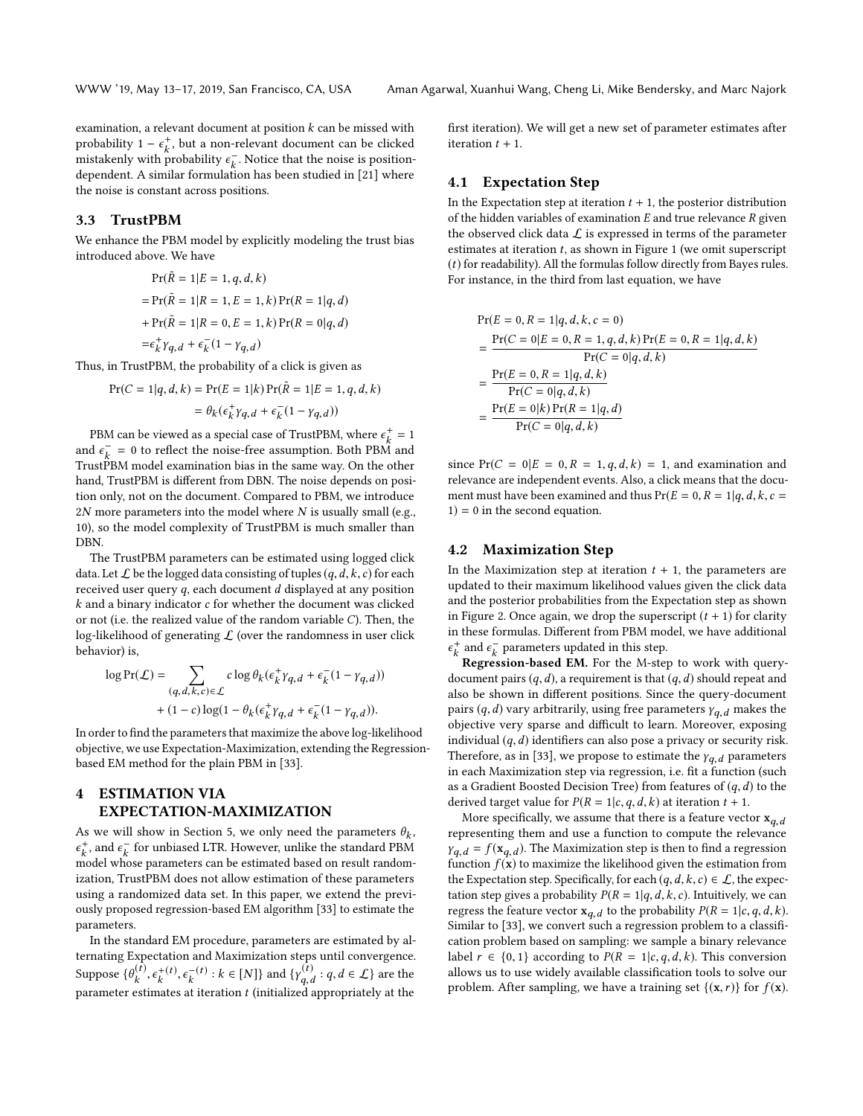examination, a relevant document at position  $k$  can be missed with probability  $1 - \epsilon_k^+$ , but a non-relevant document can be clicked<br>mistakenly with probability  $\epsilon^-$ . Notice that the noise is neglient mistakenly with probability  $\epsilon_k^{\perp}$ . Notice that the noise is position-<br>dependent A similar formulation has been studied in [21] where dependent. A similar formulation has been studied in [\[21\]](#page-10-3) where the noise is constant across positions.

# 3.3 TrustPBM

We enhance the PBM model by explicitly modeling the trust bias introduced above. We have

$$
Pr(\tilde{R} = 1|E = 1, q, d, k)
$$
  
= Pr( $\tilde{R} = 1|R = 1, E = 1, k$ ) Pr( $R = 1|q, d$ )  
+ Pr( $\tilde{R} = 1|R = 0, E = 1, k$ ) Pr( $R = 0|q, d$ )  
=  $\epsilon_k^+ \gamma_{q, d} + \epsilon_k^-(1 - \gamma_{q, d})$ 

Thus, in TrustPBM, the probability of a click is given as

$$
Pr(C = 1|q, d, k) = Pr(E = 1|k)Pr(\tilde{R} = 1|E = 1, q, d, k)
$$

$$
= \theta_k(\epsilon_k^{\dagger} \gamma_{q, d} + \epsilon_k^-(1 - \gamma_{q, d}))
$$

PBM can be viewed as a special case of TrustPBM, where  $\epsilon_{k}^{+} = 1$ <br>d  $\epsilon^{-} = 0$  to reflect the noise-free assumption. Both PBM and and  $\epsilon_k^- = 0$  to reflect the noise-free assumption. Both PBM and<br>TruetBBM model examination bise in the came way. On the other TrustPBM model examination bias in the same way. On the other hand, TrustPBM is different from DBN. The noise depends on position only, not on the document. Compared to PBM, we introduce  $2N$  more parameters into the model where  $N$  is usually small (e.g., 10), so the model complexity of TrustPBM is much smaller than DBN.

The TrustPBM parameters can be estimated using logged click data. Let  $\mathcal L$  be the logged data consisting of tuples  $(q, d, k, c)$  for each received user query  $q$ , each document  $d$  displayed at any position  $k$  and a binary indicator  $c$  for whether the document was clicked or not (i.e. the realized value of the random variable C). Then, the log-likelihood of generating  $L$  (over the randomness in user click behavior) is,

$$
\begin{aligned} \log\text{Pr}(\mathcal{L}) &= \sum_{(q,d,k,c)\in\mathcal{L}} c\log\theta_k(\epsilon_k^+\gamma_{q,d}+\epsilon_k^-(1-\gamma_{q,d})) \\ &+ (1-c)\log(1-\theta_k(\epsilon_k^+\gamma_{q,d}+\epsilon_k^-(1-\gamma_{q,d})). \end{aligned}
$$

In order to find the parameters that maximize the above log-likelihood objective, we use Expectation-Maximization, extending the Regressionbased EM method for the plain PBM in [\[33\]](#page-10-2).

# <span id="page-3-0"></span>4 ESTIMATION VIA EXPECTATION-MAXIMIZATION

As we will show in Section [5,](#page-4-0) we only need the parameters  $\theta_k$ ,<br> $\epsilon^+$  and  $\epsilon^-$  for unbiased LTR. However, unlike the standard PRM  $\kappa$  model whose parameters can be estimated based on result random-<sup>+</sup>, and  $\epsilon_k^+$  for unbiased LTR. However, unlike the standard PBM<br>nodel whose parameters can be estimated based on result random. ization, TrustPBM does not allow estimation of these parameters using a randomized data set. In this paper, we extend the previously proposed regression-based EM algorithm [\[33\]](#page-10-2) to estimate the parameters.

In the standard EM procedure, parameters are estimated by alternating Expectation and Maximization steps until convergence. Suppose  $\{\theta_k^{(t)}\}$  $k$ <sup>+</sup>  $\frac{1}{k}(t)$  $^{\prime}$ .  $k<sup>{-}(t)</sup> : k \in [N]$ } and  $\{\gamma_{q,t}^{(t)}\}$  $q, d : q, d \in \mathcal{L}$  are the<br>d appropriately at the parameter estimates at iteration  $t$  (initialized appropriately at the

first iteration). We will get a new set of parameter estimates after iteration  $t + 1$ .

# 4.1 Expectation Step

In the Expectation step at iteration  $t + 1$ , the posterior distribution of the hidden variables of examination  $E$  and true relevance  $R$  given the observed click data  $\mathcal L$  is expressed in terms of the parameter estimates at iteration  $t$ , as shown in Figure [1](#page-4-1) (we omit superscript (t) for readability). All the formulas follow directly from Bayes rules. For instance, in the third from last equation, we have

$$
Pr(E = 0, R = 1|q, d, k, c = 0)
$$
  
= 
$$
\frac{Pr(C = 0|E = 0, R = 1, q, d, k) Pr(E = 0, R = 1|q, d, k)}{Pr(C = 0|q, d, k)}
$$
  
= 
$$
\frac{Pr(E = 0, R = 1|q, d, k)}{Pr(C = 0|q, d, k)}
$$
  
= 
$$
\frac{Pr(E = 0|k) Pr(R = 1|q, d)}{Pr(C = 0|q, d, k)}
$$

since  $Pr(C = 0|E = 0, R = 1, q, d, k) = 1$ , and examination and relevance are independent events. Also, a click means that the document must have been examined and thus  $Pr(E = 0, R = 1 | q, d, k, c =$  $1$ ) = 0 in the second equation.

# 4.2 Maximization Step

In the Maximization step at iteration  $t + 1$ , the parameters are updated to their maximum likelihood values given the click data and the posterior probabilities from the Expectation step as shown in Figure [2.](#page-4-2) Once again, we drop the superscript  $(t + 1)$  for clarity in these formulas. Different from PBM model, we have additional <sup>+</sup> and  $\epsilon_k^-$  parameters updated in this step.<br>**Parameters** updated in this step.

Regression-based EM. For the M-step to work with querydocument pairs  $(q, d)$ , a requirement is that  $(q, d)$  should repeat and also be shown in different positions. Since the query-document pairs  $(q, d)$  vary arbitrarily, using free parameters  $\gamma_{q, d}$  makes the objective very sparse and difficult to learn. Moreover, exposing individual  $(q, d)$  identifiers can also pose a privacy or security risk. Therefore, as in [\[33\]](#page-10-2), we propose to estimate the  $\gamma_{q,d}$  parameters in each Maximization step via regression, i.e. fit a function (such as a Gradient Boosted Decision Tree) from features of  $(q, d)$  to the derived target value for  $P(R = 1|c, q, d, k)$  at iteration  $t + 1$ .

More specifically, we assume that there is a feature vector  $x_{q,d}$ representing them and use a function to compute the relevance  $\gamma_{q,d} = f(\mathbf{x}_{q,d})$ . The Maximization step is then to find a regression function  $f(\mathbf{x})$  to maximize the likelihood given the estimation from function  $f(\mathbf{x})$  to maximize the likelihood given the estimation from the Expectation step. Specifically, for each  $(q, d, k, c) \in \mathcal{L}$ , the expectation step gives a probability  $P(R = 1|q, d, k, c)$ . Intuitively, we can regress the feature vector  $\mathbf{x}_{q,d}$  to the probability  $P(R = 1|c, q, d, k)$ .<br>Similar to [33], we convert such a regression problem to a classifi-Similar to [\[33\]](#page-10-2), we convert such a regression problem to a classification problem based on sampling: we sample a binary relevance label  $r \in \{0, 1\}$  according to  $P(R = 1|c, q, d, k)$ . This conversion allows us to use widely available classification tools to solve our problem. After sampling, we have a training set  $\{(x, r)\}\$ for  $f(x)$ .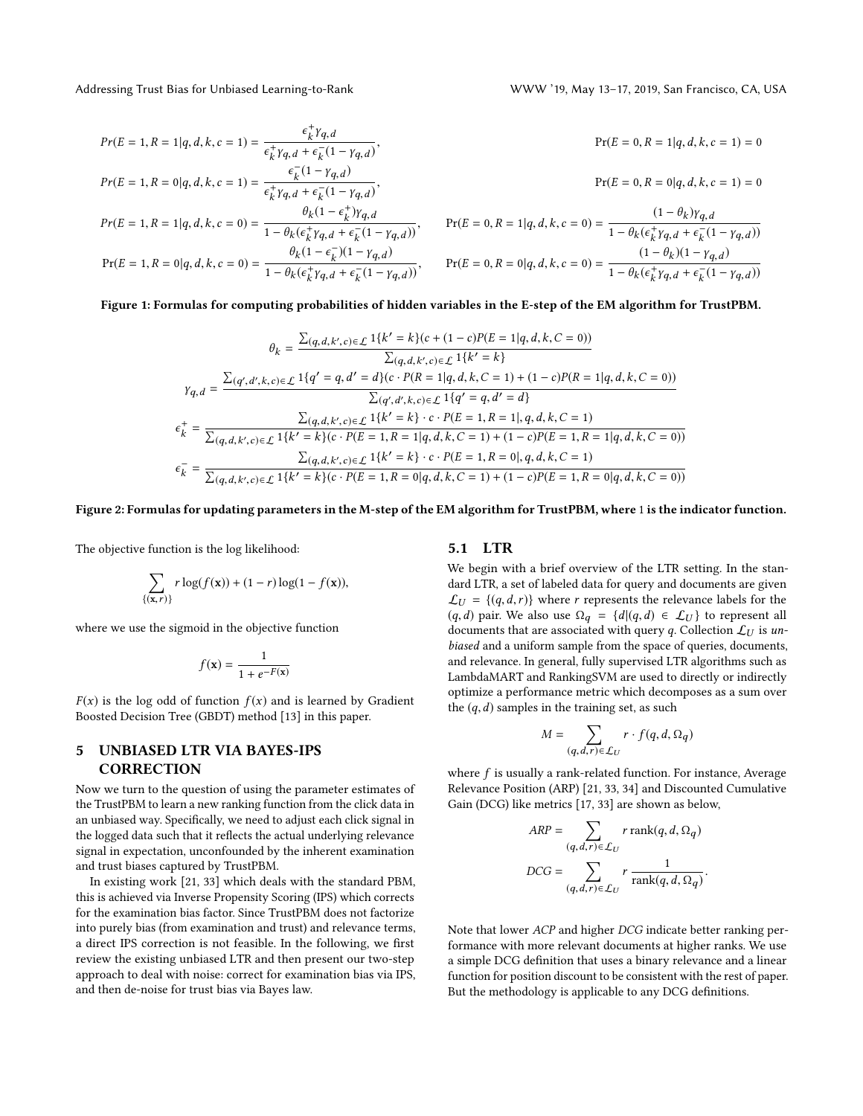<span id="page-4-1"></span>

$$
Pr(E = 1, R = 1 | q, d, k, c = 1) = \frac{\epsilon_{k}^{+} \gamma_{q, d}}{\epsilon_{k}^{+} \gamma_{q, d} + \epsilon_{k}^{-} (1 - \gamma_{q, d})},
$$
\n
$$
Pr(E = 1, R = 0 | q, d, k, c = 1) = \frac{\epsilon_{k}^{+} (1 - \gamma_{q, d})}{\epsilon_{k}^{+} \gamma_{q, d} + \epsilon_{k}^{-} (1 - \gamma_{q, d})},
$$
\n
$$
Pr(E = 1, R = 1 | q, d, k, c = 0) = \frac{\theta_{k} (1 - \epsilon_{k}^{+}) \gamma_{q, d}}{1 - \theta_{k} (\epsilon_{k}^{+} \gamma_{q, d} + \epsilon_{k}^{-} (1 - \gamma_{q, d}))},
$$
\n
$$
Pr(E = 0, R = 0 | q, d, k, c = 1) = 0
$$
\n
$$
Pr(E = 0, R = 0 | q, d, k, c = 1) = 0
$$
\n
$$
Pr(E = 0, R = 1 | q, d, k, c = 0) = \frac{\theta_{k} (1 - \epsilon_{k}^{+}) \gamma_{q, d}}{1 - \theta_{k} (\epsilon_{k}^{+} \gamma_{q, d} + \epsilon_{k}^{-} (1 - \gamma_{q, d}))},
$$
\n
$$
Pr(E = 0, R = 1 | q, d, k, c = 0) = \frac{(1 - \theta_{k}) (\gamma_{q, d})}{1 - \theta_{k} (\epsilon_{k}^{+} \gamma_{q, d} + \epsilon_{k}^{-} (1 - \gamma_{q, d}))},
$$
\n
$$
Pr(E = 0, R = 0 | q, d, k, c = 0) = \frac{(1 - \theta_{k}) (1 - \gamma_{q, d})}{1 - \theta_{k} (\epsilon_{k}^{+} \gamma_{q, d} + \epsilon_{k}^{-} (1 - \gamma_{q, d}))},
$$
\n
$$
Pr(E = 0, R = 0 | q, d, k, c = 0) = \frac{(1 - \theta_{k}) (\gamma_{q, d})}{1 - \theta_{k} (\epsilon_{k}^{+} \gamma_{q, d} + \epsilon_{k}^{-} (1 - \gamma_{q, d}))},
$$
\n
$$
Pr(E = 1, R = 0 | q, d, k, c = 0) = \frac{\theta_{k} (1 - \epsilon_{k}
$$

#### <span id="page-4-2"></span>Figure 1: Formulas for computing probabilities of hidden variables in the E-step of the EM algorithm for TrustPBM.

$$
\theta_{k} = \frac{\sum(q, d, k', c) \in \mathcal{L} \ 1\{k' = k\}(c + (1 - c)P(E = 1|q, d, k, C = 0))}{\sum(q, d, k', c) \in \mathcal{L} \ 1\{k' = k\}}
$$
\n
$$
\gamma_{q, d} = \frac{\sum(q', d', k, c) \in \mathcal{L} \ 1\{q' = q, d' = d\}(c \cdot P(R = 1|q, d, k, C = 1) + (1 - c)P(R = 1|q, d, k, C = 0))}{\sum(q', d', k, c) \in \mathcal{L} \ 1\{q' = q, d' = d\}}
$$
\n
$$
\epsilon_{k}^{+} = \frac{\sum(q, d, k', c) \in \mathcal{L} \ 1\{k' = k\} \cdot c \cdot P(E = 1, R = 1|, q, d, k, C = 1)}{\sum(q, d, k', c) \in \mathcal{L} \ 1\{k' = k\} \cdot c \cdot P(E = 1, R = 1| + (1 - c)P(E = 1, R = 1|q, d, k, C = 0))}
$$
\n
$$
\epsilon_{k}^{-} = \frac{\sum(q, d, k', c) \in \mathcal{L} \ 1\{k' = k\} \cdot c \cdot P(E = 1, R = 0|, q, d, k, C = 1)}{\sum(q, d, k', c) \in \mathcal{L} \ 1\{k' = k\} \cdot c \cdot P(E = 1, R = 0|, q, d, k, C = 1)} + (1 - c)P(E = 1, R = 0|q, d, k, C = 0))}
$$

#### Figure 2: Formulas for updating parameters in the M-step of the EM algorithm for TrustPBM, where 1 is the indicator function.

The objective function is the log likelihood:

$$
\sum_{\{(x,r)\}} r \log(f(x)) + (1-r) \log(1-f(x)),
$$

where we use the sigmoid in the objective function

$$
f(\mathbf{x}) = \frac{1}{1 + e^{-F(\mathbf{x})}}
$$

 $F(x)$  is the log odd of function  $f(x)$  and is learned by Gradient Boosted Decision Tree (GBDT) method [\[13\]](#page-9-14) in this paper.

# <span id="page-4-0"></span>5 UNBIASED LTR VIA BAYES-IPS **CORRECTION**

Now we turn to the question of using the parameter estimates of the TrustPBM to learn a new ranking function from the click data in an unbiased way. Specifically, we need to adjust each click signal in the logged data such that it reflects the actual underlying relevance signal in expectation, unconfounded by the inherent examination and trust biases captured by TrustPBM.

In existing work [\[21,](#page-10-3) [33\]](#page-10-2) which deals with the standard PBM, this is achieved via Inverse Propensity Scoring (IPS) which corrects for the examination bias factor. Since TrustPBM does not factorize into purely bias (from examination and trust) and relevance terms, a direct IPS correction is not feasible. In the following, we first review the existing unbiased LTR and then present our two-step approach to deal with noise: correct for examination bias via IPS, and then de-noise for trust bias via Bayes law.

#### 5.1 LTR

We begin with a brief overview of the LTR setting. In the standard LTR, a set of labeled data for query and documents are given  $\mathcal{L}_U = \{(q, d, r)\}\$  where r represents the relevance labels for the  $(q, d)$  pair. We also use  $\Omega_q = \{d | (q, d) \in \mathcal{L}_U\}$  to represent all documents that are associated with query q. Collection  $\mathcal{L}_U$  is unbiased and a uniform sample from the space of queries, documents, and relevance. In general, fully supervised LTR algorithms such as LambdaMART and RankingSVM are used to directly or indirectly optimize a performance metric which decomposes as a sum over the  $(q, d)$  samples in the training set, as such

$$
M = \sum_{(q,d,r)\in \mathcal{L}_U} r \cdot f(q,d,\Omega_q)
$$

where  $f$  is usually a rank-related function. For instance, Average Relevance Position (ARP) [\[21,](#page-10-3) [33,](#page-10-2) [34\]](#page-10-13) and Discounted Cumulative Gain (DCG) like metrics [\[17,](#page-9-15) [33\]](#page-10-2) are shown as below,

$$
\begin{aligned} ARP &= \sum_{(q,d,r) \in \mathcal{L}_U} r \, \text{rank}(q,d,\Omega_q) \\ DCG &= \sum_{(q,d,r) \in \mathcal{L}_U} r \, \frac{1}{\text{rank}(q,d,\Omega_q)}. \end{aligned}
$$

Note that lower ACP and higher DCG indicate better ranking performance with more relevant documents at higher ranks. We use a simple DCG definition that uses a binary relevance and a linear function for position discount to be consistent with the rest of paper. But the methodology is applicable to any DCG definitions.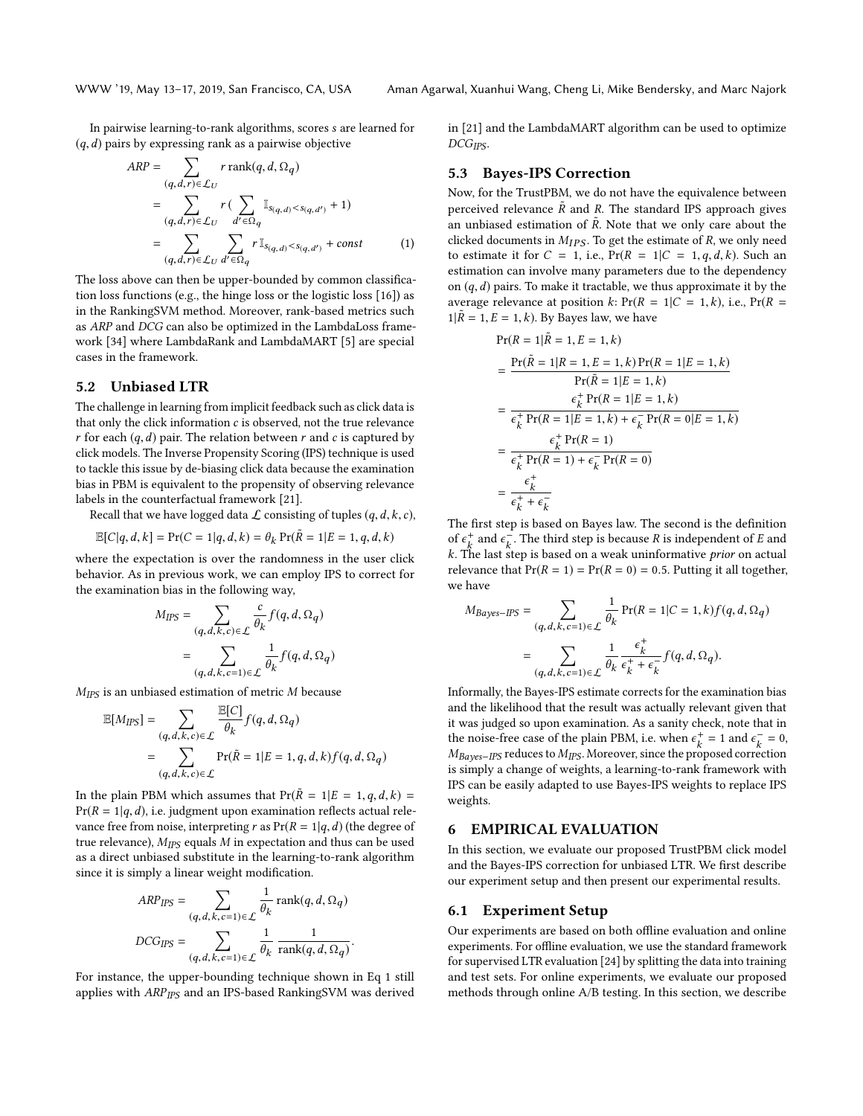In pairwise learning-to-rank algorithms, scores s are learned for  $(q, d)$  pairs by expressing rank as a pairwise objective

$$
ARP = \sum_{(q,d,r)\in \mathcal{L}_U} r \operatorname{rank}(q, d, \Omega_q)
$$
  
= 
$$
\sum_{(q,d,r)\in \mathcal{L}_U} r \left( \sum_{d'\in \Omega_q} \mathbb{I}_{s_{(q,d)} < s_{(q,d')}} + 1 \right)
$$
  
= 
$$
\sum_{(q,d,r)\in \mathcal{L}_U} \sum_{d'\in \Omega_q} r \mathbb{I}_{s_{(q,d)} < s_{(q,d')}} + const
$$
 (1)

The loss above can then be upper-bounded by common classification loss functions (e.g., the hinge loss or the logistic loss [\[16\]](#page-9-16)) as in the RankingSVM method. Moreover, rank-based metrics such as ARP and DCG can also be optimized in the LambdaLoss framework [\[34\]](#page-10-13) where LambdaRank and LambdaMART [\[5\]](#page-9-17) are special cases in the framework.

## 5.2 Unbiased LTR

The challenge in learning from implicit feedback such as click data is that only the click information c is observed, not the true relevance r for each  $(q, d)$  pair. The relation between r and c is captured by click models. The Inverse Propensity Scoring (IPS) technique is used to tackle this issue by de-biasing click data because the examination bias in PBM is equivalent to the propensity of observing relevance labels in the counterfactual framework [\[21\]](#page-10-3).

Recall that we have logged data  $\mathcal L$  consisting of tuples  $(q, d, k, c)$ ,

$$
\mathbb{E}[C|q, d, k] = \Pr(C = 1|q, d, k) = \theta_k \Pr(\tilde{R} = 1|E = 1, q, d, k)
$$

where the expectation is over the randomness in the user click behavior. As in previous work, we can employ IPS to correct for the examination bias in the following way,

$$
M_{IPS} = \sum_{(q,d,k,c) \in \mathcal{L}} \frac{c}{\theta_k} f(q,d,\Omega_q)
$$

$$
= \sum_{(q,d,k,c=1) \in \mathcal{L}} \frac{1}{\theta_k} f(q,d,\Omega_q)
$$

 $M_{IPS}$  is an unbiased estimation of metric M because

$$
\mathbb{E}[M_{IPS}] = \sum_{(q,d,k,c) \in \mathcal{L}} \frac{\mathbb{E}[C]}{\theta_k} f(q,d,\Omega_q)
$$
  
= 
$$
\sum_{(q,d,k,c) \in \mathcal{L}} \Pr(\tilde{R} = 1 | E = 1, q, d, k) f(q,d, \Omega_q)
$$

 $E$ <sub>E</sub> $E$ 

In the plain PBM which assumes that  $Pr(R = 1|E = 1, q, d, k)$  $Pr(R = 1|q, d)$ , i.e. judgment upon examination reflects actual relevance free from noise, interpreting r as  $Pr(R = 1|q, d)$  (the degree of true relevance),  $M_{IPS}$  equals  $M$  in expectation and thus can be used as a direct unbiased substitute in the learning-to-rank algorithm since it is simply a linear weight modification.

$$
\begin{split} & ARP_{IPS} = \sum_{(q, \, d, \, k, \, c=1) \in \mathcal{L}} \frac{1}{\theta_k} \operatorname{rank}(q, d, \, \Omega_q) \\ &DCG_{IPS} = \sum_{(q, \, d, \, k, \, c=1) \in \mathcal{L}} \frac{1}{\theta_k} \, \frac{1}{\operatorname{rank}(q, \, d, \, \Omega_q)}. \end{split}
$$

For instance, the upper-bounding technique shown in Eq [1](#page-5-1) still applies with ARP<sub>IPS</sub> and an IPS-based RankingSVM was derived in [\[21\]](#page-10-3) and the LambdaMART algorithm can be used to optimize  $DCG_{IPS}$ .

#### 5.3 Bayes-IPS Correction

<span id="page-5-1"></span>Now, for the TrustPBM, we do not have the equivalence between perceived relevance  $\tilde{R}$  and R. The standard IPS approach gives an unbiased estimation of  $\tilde{R}$ . Note that we only care about the clicked documents in  $M_{\text{MC}}$ . To get the estimate of  $R$ , we only need clicked documents in  $M_{IPS}$ . To get the estimate of R, we only need to estimate it for  $C = 1$ , i.e.,  $Pr(R = 1|C = 1, q, d, k)$ . Such an estimation can involve many parameters due to the dependency on  $(q, d)$  pairs. To make it tractable, we thus approximate it by the average relevance at position k:  $Pr(R = 1|C = 1, k)$ , i.e.,  $Pr(R = 1)$  $1|\tilde{R} = 1, E = 1, k$ . By Bayes law, we have

$$
Pr(R = 1 | \tilde{R} = 1, E = 1, k)
$$
  
= 
$$
\frac{Pr(\tilde{R} = 1 | R = 1, E = 1, k) Pr(R = 1 | E = 1, k)}{Pr(\tilde{R} = 1 | E = 1, k)}
$$
  
= 
$$
\frac{\epsilon_k^+ Pr(R = 1 | E = 1, k)}{\epsilon_k^+ Pr(R = 1 | E = 1, k) + \epsilon_k^- Pr(R = 0 | E = 1, k)}
$$
  
= 
$$
\frac{\epsilon_k^+ Pr(R = 1)}{\epsilon_k^+ Pr(R = 1) + \epsilon_k^- Pr(R = 0)}
$$
  
= 
$$
\frac{\epsilon_k^+}{\epsilon_k^+ + \epsilon_k^-}
$$

The first step is based on Bayes law. The second is the definition of  $\epsilon_k^+$  and  $\epsilon_k^-$ . The third step is because R is independent of E and  $k$ . The last step is based on a weak uninformative prior on actual k. The last step is based on a weak uninformative prior on actual relevance that  $Pr(R = 1) = Pr(R = 0) = 0.5$ . Putting it all together, we have

$$
M_{Bayes-IPS} = \sum_{(q,d,k,c=1)\in\mathcal{L}} \frac{1}{\theta_k} \Pr(R = 1|C = 1, k) f(q, d, \Omega_q)
$$

$$
= \sum_{(q,d,k,c=1)\in\mathcal{L}} \frac{1}{\theta_k} \frac{\epsilon_k^+}{\epsilon_k^+ + \epsilon_k^-} f(q, d, \Omega_q).
$$

Informally, the Bayes-IPS estimate corrects for the examination bias and the likelihood that the result was actually relevant given that it was judged so upon examination. As a sanity check, note that in the noise-free case of the plain PBM, i.e. when  $\epsilon_k^+ = 1$  and  $\epsilon_k^- = 0$ ,<br>M<sub>angle</sub> regulates to M<sub>ang</sub> Moreover since the proposed correction  $M_{Bayes-IPS}$  reduces to  $M_{IPS}$ . Moreover, since the proposed correction is simply a change of weights, a learning-to-rank framework with IPS can be easily adapted to use Bayes-IPS weights to replace IPS weights.

# <span id="page-5-0"></span>6 EMPIRICAL EVALUATION

In this section, we evaluate our proposed TrustPBM click model and the Bayes-IPS correction for unbiased LTR. We first describe our experiment setup and then present our experimental results.

#### 6.1 Experiment Setup

Our experiments are based on both offline evaluation and online experiments. For offline evaluation, we use the standard framework for supervised LTR evaluation [\[24\]](#page-10-14) by splitting the data into training and test sets. For online experiments, we evaluate our proposed methods through online A/B testing. In this section, we describe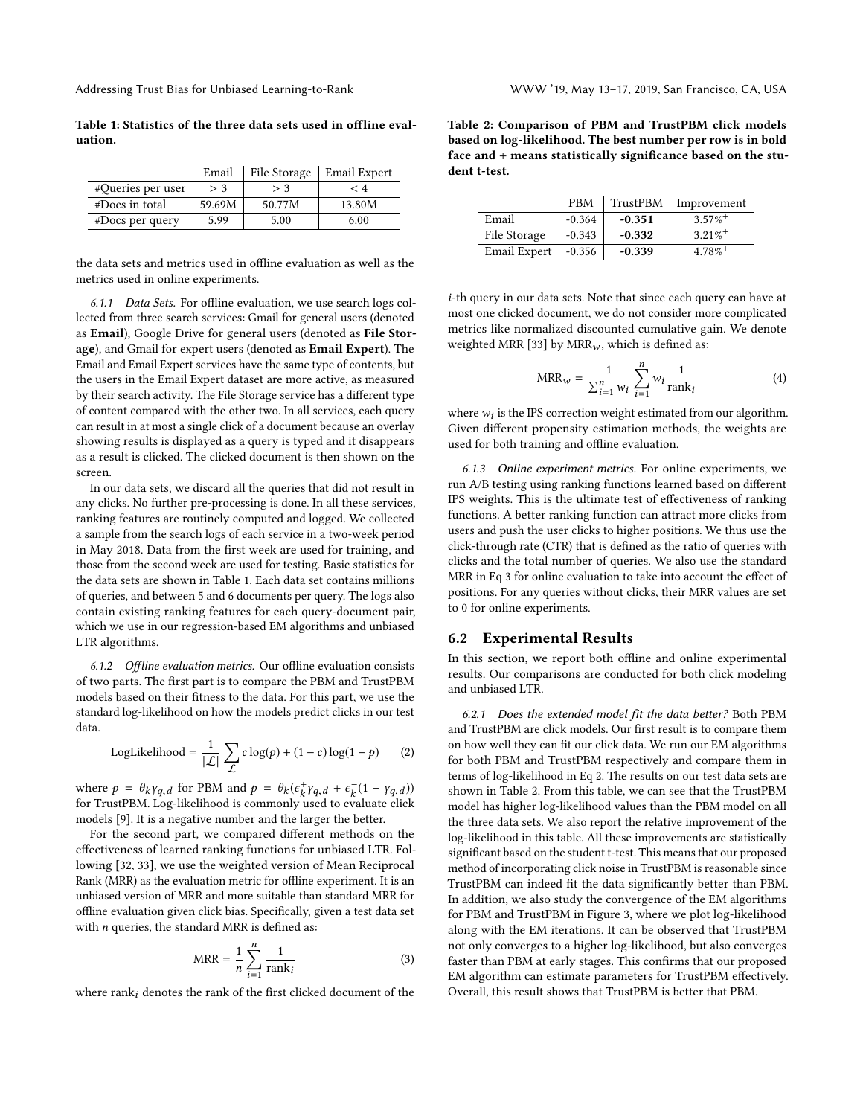Addressing Trust Bias for Unbiased Learning-to-Rank WWW '19, May 13-17, 2019, San Francisco, CA, USA

<span id="page-6-0"></span>Table 1: Statistics of the three data sets used in offline evaluation.

|                   | Email  | File Storage | Email Expert |
|-------------------|--------|--------------|--------------|
| #Queries per user | > 3    | > 3          | ← 4          |
| #Docs in total    | 59.69M | 50.77M       | 13.80M       |
| $#Docs$ per query | 5.99   | 5.00         | 6.00         |

the data sets and metrics used in offline evaluation as well as the metrics used in online experiments.

6.1.1 Data Sets. For offline evaluation, we use search logs collected from three search services: Gmail for general users (denoted as Email), Google Drive for general users (denoted as File Storage), and Gmail for expert users (denoted as Email Expert). The Email and Email Expert services have the same type of contents, but the users in the Email Expert dataset are more active, as measured by their search activity. The File Storage service has a different type of content compared with the other two. In all services, each query can result in at most a single click of a document because an overlay showing results is displayed as a query is typed and it disappears as a result is clicked. The clicked document is then shown on the screen.

In our data sets, we discard all the queries that did not result in any clicks. No further pre-processing is done. In all these services, ranking features are routinely computed and logged. We collected a sample from the search logs of each service in a two-week period in May 2018. Data from the first week are used for training, and those from the second week are used for testing. Basic statistics for the data sets are shown in Table [1.](#page-6-0) Each data set contains millions of queries, and between 5 and 6 documents per query. The logs also contain existing ranking features for each query-document pair, which we use in our regression-based EM algorithms and unbiased LTR algorithms.

6.1.2 Offline evaluation metrics. Our offline evaluation consists of two parts. The first part is to compare the PBM and TrustPBM models based on their fitness to the data. For this part, we use the standard log-likelihood on how the models predict clicks in our test data.

<span id="page-6-2"></span>LogLikelihood = 
$$
\frac{1}{|\mathcal{L}|} \sum_{\mathcal{L}} c \log(p) + (1 - c) \log(1 - p)
$$
 (2)

where  $p = \theta_k Y q, d$  for PBM and  $p = \theta_k (\epsilon_k^+ Y q, d + \epsilon_k^- (1 - Y q, d))$ <br>for Trust PBM I og-likelihood is commonly used to evaluate click for TrustPBM. Log-likelihood is commonly used to evaluate click models [\[9\]](#page-9-9). It is a negative number and the larger the better.

For the second part, we compared different methods on the effectiveness of learned ranking functions for unbiased LTR. Following [\[32,](#page-10-1) [33\]](#page-10-2), we use the weighted version of Mean Reciprocal Rank (MRR) as the evaluation metric for offline experiment. It is an unbiased version of MRR and more suitable than standard MRR for offline evaluation given click bias. Specifically, given a test data set with  $n$  queries, the standard MRR is defined as:

<span id="page-6-1"></span>
$$
MRR = \frac{1}{n} \sum_{i=1}^{n} \frac{1}{\text{rank}_i}
$$
 (3)

where  $rank_i$  denotes the rank of the first clicked document of the

<span id="page-6-3"></span>Table 2: Comparison of PBM and TrustPBM click models based on log-likelihood. The best number per row is in bold face and + means statistically significance based on the student t-test.

|                     | <b>PRM</b> | TrustPBM | Improvement           |
|---------------------|------------|----------|-----------------------|
| Email               | $-0.364$   | $-0.351$ | $3.57\%$ <sup>+</sup> |
| File Storage        | $-0.343$   | $-0.332$ | $3.21\%$ <sup>+</sup> |
| <b>Email Expert</b> | $-0.356$   | $-0.339$ | $4.78\%$ <sup>+</sup> |

i-th query in our data sets. Note that since each query can have at most one clicked document, we do not consider more complicated metrics like normalized discounted cumulative gain. We denote weighted MRR [\[33\]](#page-10-2) by MRR<sub>w</sub>, which is defined as:

<span id="page-6-4"></span>
$$
MRR_w = \frac{1}{\sum_{i=1}^{n} w_i} \sum_{i=1}^{n} w_i \frac{1}{\text{rank}_i}
$$
 (4)

where  $w_i$  is the IPS correction weight estimated from our algorithm.<br>Given different propensity estimation methods, the weights are Given different propensity estimation methods, the weights are used for both training and offline evaluation.

6.1.3 Online experiment metrics. For online experiments, we run A/B testing using ranking functions learned based on different IPS weights. This is the ultimate test of effectiveness of ranking functions. A better ranking function can attract more clicks from users and push the user clicks to higher positions. We thus use the click-through rate (CTR) that is defined as the ratio of queries with clicks and the total number of queries. We also use the standard MRR in Eq [3](#page-6-1) for online evaluation to take into account the effect of positions. For any queries without clicks, their MRR values are set to 0 for online experiments.

# 6.2 Experimental Results

In this section, we report both offline and online experimental results. Our comparisons are conducted for both click modeling and unbiased LTR.

6.2.1 Does the extended model fit the data better? Both PBM and TrustPBM are click models. Our first result is to compare them on how well they can fit our click data. We run our EM algorithms for both PBM and TrustPBM respectively and compare them in terms of log-likelihood in Eq [2.](#page-6-2) The results on our test data sets are shown in Table [2.](#page-6-3) From this table, we can see that the TrustPBM model has higher log-likelihood values than the PBM model on all the three data sets. We also report the relative improvement of the log-likelihood in this table. All these improvements are statistically significant based on the student t-test. This means that our proposed method of incorporating click noise in TrustPBM is reasonable since TrustPBM can indeed fit the data significantly better than PBM. In addition, we also study the convergence of the EM algorithms for PBM and TrustPBM in Figure [3,](#page-7-0) where we plot log-likelihood along with the EM iterations. It can be observed that TrustPBM not only converges to a higher log-likelihood, but also converges faster than PBM at early stages. This confirms that our proposed EM algorithm can estimate parameters for TrustPBM effectively. Overall, this result shows that TrustPBM is better that PBM.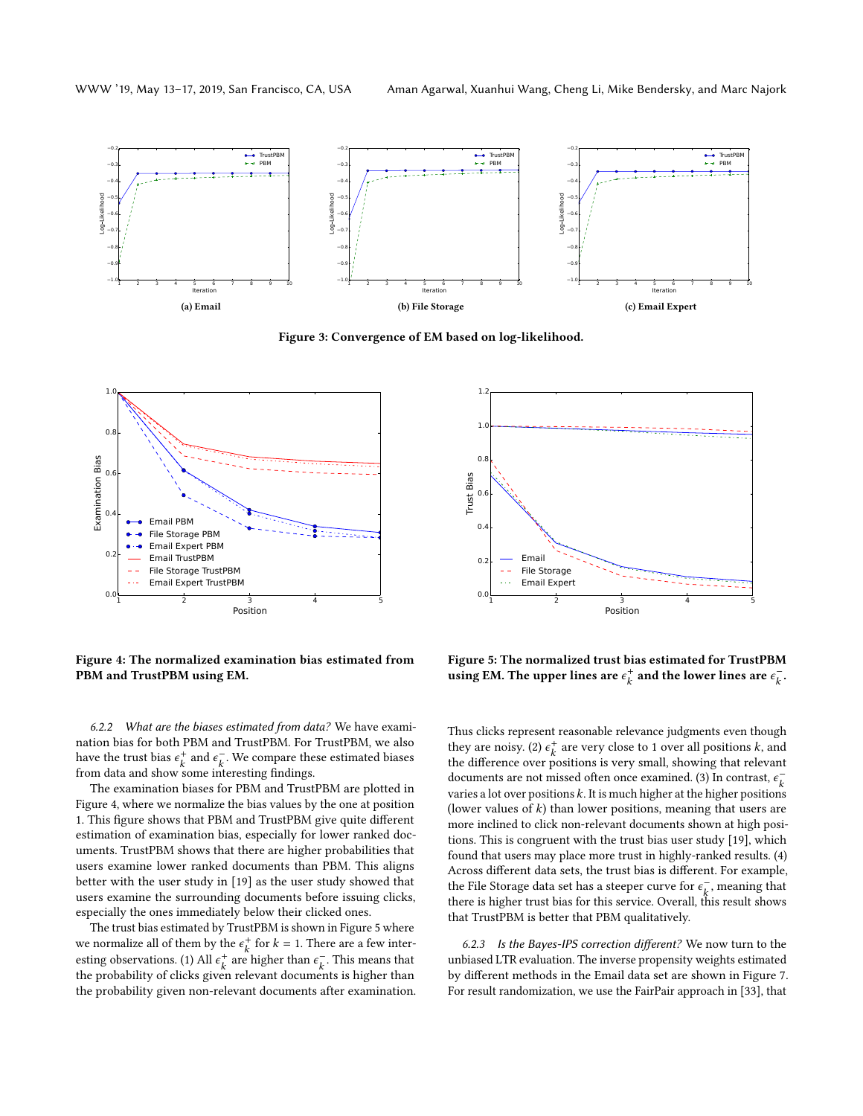<span id="page-7-0"></span>

Figure 3: Convergence of EM based on log-likelihood.

<span id="page-7-1"></span>

Figure 4: The normalized examination bias estimated from PBM and TrustPBM using EM.

6.2.2 What are the biases estimated from data? We have examination bias for both PBM and TrustPBM. For TrustPBM, we also have the trust bias  $\epsilon_k^+$  and  $\epsilon_k^-$ . We compare these estimated biases<br>from data and show some interesting findings from data and show some interesting findings.

The examination biases for PBM and TrustPBM are plotted in Figure [4,](#page-7-1) where we normalize the bias values by the one at position 1. This figure shows that PBM and TrustPBM give quite different estimation of examination bias, especially for lower ranked documents. TrustPBM shows that there are higher probabilities that users examine lower ranked documents than PBM. This aligns better with the user study in [\[19\]](#page-9-2) as the user study showed that users examine the surrounding documents before issuing clicks, especially the ones immediately below their clicked ones.

The trust bias estimated by TrustPBM is shown in Figure [5](#page-7-2) where we normalize all of them by the  $\epsilon_k^+$  for  $k = 1$ . There are a few inter-<br>extinct a harmonizing (1) All at any higher than  $\epsilon_k^-$ . This magne that esting observations. (1) All  $\epsilon_k^+$  are higher than  $\epsilon_k^-$ . This means that the probability of clicks given relevant documents is bigher than the probability of clicks given relevant documents is higher than the probability given non-relevant documents after examination.

<span id="page-7-2"></span>

Figure 5: The normalized trust bias estimated for TrustPBM using EM. The upper lines are  $\epsilon_k^+$  and the lower lines are  $\epsilon_k^-$ .

Thus clicks represent reasonable relevance judgments even though they are noisy. (2)  $\epsilon_k^+$  are very close to 1 over all positions k, and the difference over positions is very small, showing that relevant the difference over positions is very small, showing that relevant documents are not missed often once examined. (3) In contrast,  $\epsilon_k^$ varies a lot over positions  $k$ . It is much higher at the higher positions (lower values of  $k$ ) than lower positions, meaning that users are more inclined to click non-relevant documents shown at high positions. This is congruent with the trust bias user study [\[19\]](#page-9-2), which found that users may place more trust in highly-ranked results. (4) Across different data sets, the trust bias is different. For example, the File Storage data set has a steeper curve for  $\epsilon_{k}^{-}$ , meaning that there is bigher trust bigg for this service. Overall, this result shows there is higher trust bias for this service. Overall, this result shows that TrustPBM is better that PBM qualitatively.

6.2.3 Is the Bayes-IPS correction different? We now turn to the unbiased LTR evaluation. The inverse propensity weights estimated by different methods in the Email data set are shown in Figure [7.](#page-8-0) For result randomization, we use the FairPair approach in [\[33\]](#page-10-2), that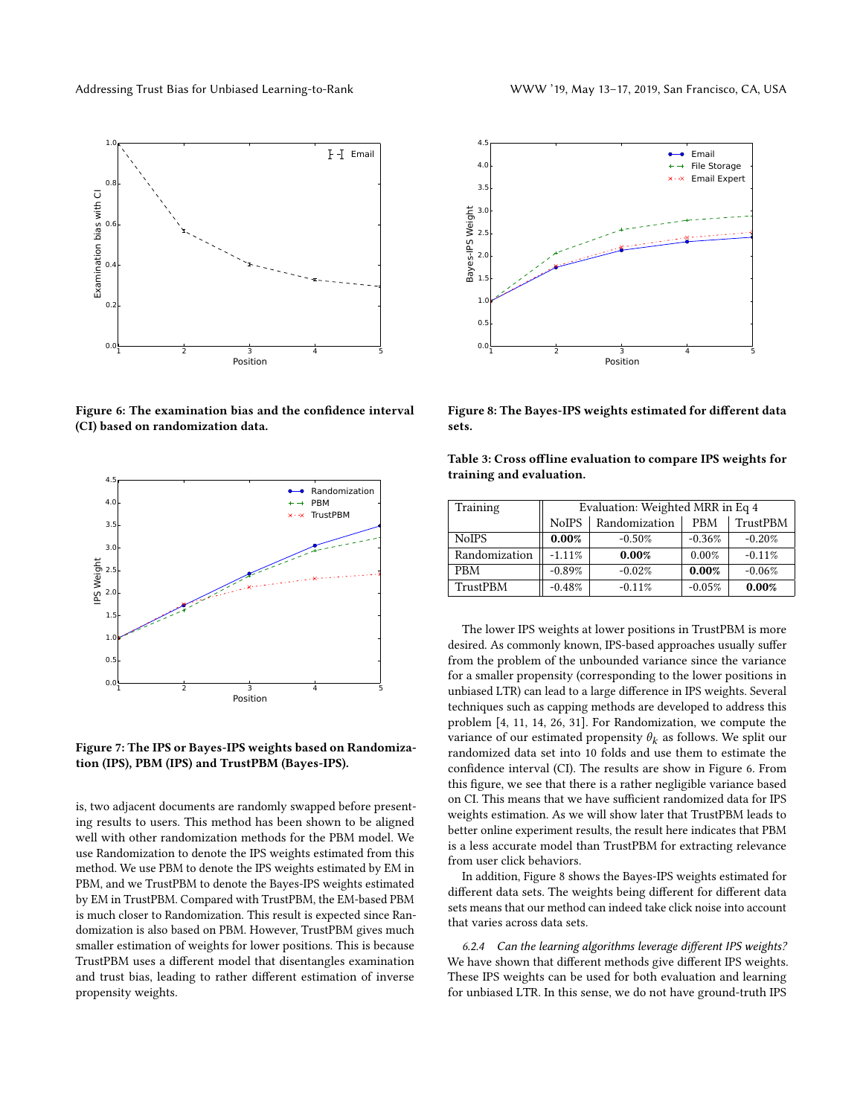<span id="page-8-1"></span>

Figure 6: The examination bias and the confidence interval (CI) based on randomization data.

<span id="page-8-0"></span>

Figure 7: The IPS or Bayes-IPS weights based on Randomization (IPS), PBM (IPS) and TrustPBM (Bayes-IPS).

is, two adjacent documents are randomly swapped before presenting results to users. This method has been shown to be aligned well with other randomization methods for the PBM model. We use Randomization to denote the IPS weights estimated from this method. We use PBM to denote the IPS weights estimated by EM in PBM, and we TrustPBM to denote the Bayes-IPS weights estimated by EM in TrustPBM. Compared with TrustPBM, the EM-based PBM is much closer to Randomization. This result is expected since Randomization is also based on PBM. However, TrustPBM gives much smaller estimation of weights for lower positions. This is because TrustPBM uses a different model that disentangles examination and trust bias, leading to rather different estimation of inverse propensity weights.



<span id="page-8-2"></span>

Figure 8: The Bayes-IPS weights estimated for different data sets.

<span id="page-8-3"></span>

| Table 3: Cross offline evaluation to compare IPS weights for |  |
|--------------------------------------------------------------|--|
| training and evaluation.                                     |  |

| Training      | Evaluation: Weighted MRR in Eq 4 |               |            |          |
|---------------|----------------------------------|---------------|------------|----------|
|               | <b>NoIPS</b>                     | Randomization | <b>PRM</b> | TrustPBM |
| <b>NoIPS</b>  | 0.00%                            | $-0.50%$      | $-0.36%$   | $-0.20%$ |
| Randomization | $-1.11%$                         | $0.00\%$      | 0.00%      | $-0.11%$ |
| <b>PBM</b>    | $-0.89%$                         | $-0.02%$      | 0.00%      | $-0.06%$ |
| TrustPBM      | $-0.48%$                         | $-0.11%$      | $-0.05%$   | 0.00%    |

The lower IPS weights at lower positions in TrustPBM is more desired. As commonly known, IPS-based approaches usually suffer from the problem of the unbounded variance since the variance for a smaller propensity (corresponding to the lower positions in unbiased LTR) can lead to a large difference in IPS weights. Several techniques such as capping methods are developed to address this problem [\[4,](#page-9-18) [11,](#page-9-8) [14,](#page-9-19) [26,](#page-10-15) [31\]](#page-10-16). For Randomization, we compute the variance of our estimated propensity  $\theta_k$  as follows. We split our randomized data set into 10 folds and use them to estimate the confidence interval (CI). The results are show in Figure [6.](#page-8-1) From this figure, we see that there is a rather negligible variance based on CI. This means that we have sufficient randomized data for IPS weights estimation. As we will show later that TrustPBM leads to better online experiment results, the result here indicates that PBM is a less accurate model than TrustPBM for extracting relevance from user click behaviors.

In addition, Figure [8](#page-8-2) shows the Bayes-IPS weights estimated for different data sets. The weights being different for different data sets means that our method can indeed take click noise into account that varies across data sets.

6.2.4 Can the learning algorithms leverage different IPS weights? We have shown that different methods give different IPS weights. These IPS weights can be used for both evaluation and learning for unbiased LTR. In this sense, we do not have ground-truth IPS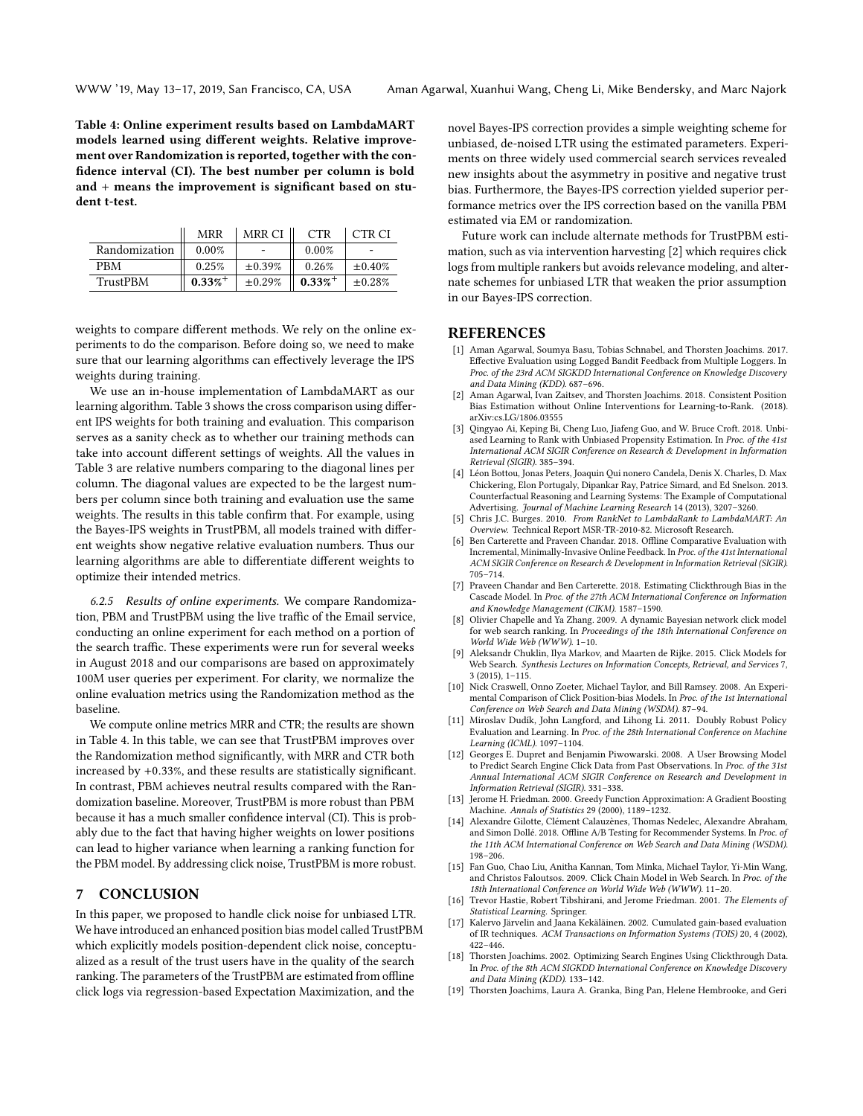<span id="page-9-20"></span>Table 4: Online experiment results based on LambdaMART models learned using different weights. Relative improvement over Randomization is reported, together with the confidence interval (CI). The best number per column is bold and + means the improvement is significant based on student t-test.

|               | <b>MRR</b>            | MRR CI       | <b>CTR</b>            | CTR CI       |
|---------------|-----------------------|--------------|-----------------------|--------------|
| Randomization | 0.00%                 |              | 0.00%                 |              |
| <b>PRM</b>    | 0.25%                 | $\pm 0.39\%$ | 0.26%                 | $\pm 0.40\%$ |
| TrustPBM      | $0.33\%$ <sup>+</sup> | $\pm 0.29\%$ | $0.33\%$ <sup>+</sup> | $\pm 0.28\%$ |

weights to compare different methods. We rely on the online experiments to do the comparison. Before doing so, we need to make sure that our learning algorithms can effectively leverage the IPS weights during training.

We use an in-house implementation of LambdaMART as our learning algorithm. Table [3](#page-8-3) shows the cross comparison using different IPS weights for both training and evaluation. This comparison serves as a sanity check as to whether our training methods can take into account different settings of weights. All the values in Table [3](#page-8-3) are relative numbers comparing to the diagonal lines per column. The diagonal values are expected to be the largest numbers per column since both training and evaluation use the same weights. The results in this table confirm that. For example, using the Bayes-IPS weights in TrustPBM, all models trained with different weights show negative relative evaluation numbers. Thus our learning algorithms are able to differentiate different weights to optimize their intended metrics.

6.2.5 Results of online experiments. We compare Randomization, PBM and TrustPBM using the live traffic of the Email service, conducting an online experiment for each method on a portion of the search traffic. These experiments were run for several weeks in August 2018 and our comparisons are based on approximately 100M user queries per experiment. For clarity, we normalize the online evaluation metrics using the Randomization method as the baseline.

We compute online metrics MRR and CTR; the results are shown in Table [4.](#page-9-20) In this table, we can see that TrustPBM improves over the Randomization method significantly, with MRR and CTR both increased by <sup>+</sup>0.33%, and these results are statistically significant. In contrast, PBM achieves neutral results compared with the Randomization baseline. Moreover, TrustPBM is more robust than PBM because it has a much smaller confidence interval (CI). This is probably due to the fact that having higher weights on lower positions can lead to higher variance when learning a ranking function for the PBM model. By addressing click noise, TrustPBM is more robust.

# <span id="page-9-3"></span>7 CONCLUSION

In this paper, we proposed to handle click noise for unbiased LTR. We have introduced an enhanced position bias model called TrustPBM which explicitly models position-dependent click noise, conceptualized as a result of the trust users have in the quality of the search ranking. The parameters of the TrustPBM are estimated from offline click logs via regression-based Expectation Maximization, and the

novel Bayes-IPS correction provides a simple weighting scheme for unbiased, de-noised LTR using the estimated parameters. Experiments on three widely used commercial search services revealed new insights about the asymmetry in positive and negative trust bias. Furthermore, the Bayes-IPS correction yielded superior performance metrics over the IPS correction based on the vanilla PBM estimated via EM or randomization.

Future work can include alternate methods for TrustPBM estimation, such as via intervention harvesting [\[2\]](#page-9-1) which requires click logs from multiple rankers but avoids relevance modeling, and alternate schemes for unbiased LTR that weaken the prior assumption in our Bayes-IPS correction.

## REFERENCES

- <span id="page-9-7"></span>[1] Aman Agarwal, Soumya Basu, Tobias Schnabel, and Thorsten Joachims. 2017. Effective Evaluation using Logged Bandit Feedback from Multiple Loggers. In Proc. of the 23rd ACM SIGKDD International Conference on Knowledge Discovery and Data Mining (KDD). 687–696.
- <span id="page-9-1"></span>[2] Aman Agarwal, Ivan Zaitsev, and Thorsten Joachims. 2018. Consistent Position Bias Estimation without Online Interventions for Learning-to-Rank. (2018). arXiv[:cs.LG/1806.03555](http://arxiv.org/abs/cs.LG/1806.03555)
- <span id="page-9-0"></span>[3] Qingyao Ai, Keping Bi, Cheng Luo, Jiafeng Guo, and W. Bruce Croft. 2018. Unbiased Learning to Rank with Unbiased Propensity Estimation. In Proc. of the 41st International ACM SIGIR Conference on Research & Development in Information Retrieval (SIGIR). 385–394.
- <span id="page-9-18"></span>[4] Léon Bottou, Jonas Peters, Joaquin Qui nonero Candela, Denis X. Charles, D. Max Chickering, Elon Portugaly, Dipankar Ray, Patrice Simard, and Ed Snelson. 2013. Counterfactual Reasoning and Learning Systems: The Example of Computational Advertising. Journal of Machine Learning Research 14 (2013), 3207–3260.
- <span id="page-9-17"></span>[5] Chris J.C. Burges. 2010. From RankNet to LambdaRank to LambdaMART: An Overview. Technical Report MSR-TR-2010-82. Microsoft Research.
- <span id="page-9-5"></span>[6] Ben Carterette and Praveen Chandar. 2018. Offline Comparative Evaluation with Incremental, Minimally-Invasive Online Feedback. In Proc. of the 41st International ACM SIGIR Conference on Research & Development in Information Retrieval (SIGIR). 705–714.
- <span id="page-9-6"></span>[7] Praveen Chandar and Ben Carterette. 2018. Estimating Clickthrough Bias in the Cascade Model. In Proc. of the 27th ACM International Conference on Information and Knowledge Management (CIKM). 1587–1590.
- <span id="page-9-12"></span>[8] Olivier Chapelle and Ya Zhang. 2009. A dynamic Bayesian network click model for web search ranking. In Proceedings of the 18th International Conference on World Wide Web (WWW). 1–10.
- <span id="page-9-9"></span>[9] Aleksandr Chuklin, Ilya Markov, and Maarten de Rijke. 2015. Click Models for Web Search. Synthesis Lectures on Information Concepts, Retrieval, and Services 7, 3 (2015), 1–115.
- <span id="page-9-10"></span>[10] Nick Craswell, Onno Zoeter, Michael Taylor, and Bill Ramsey. 2008. An Experimental Comparison of Click Position-bias Models. In Proc. of the 1st International Conference on Web Search and Data Mining (WSDM). 87–94.
- <span id="page-9-8"></span>[11] Miroslav Dudík, John Langford, and Lihong Li. 2011. Doubly Robust Policy Evaluation and Learning. In Proc. of the 28th International Conference on Machine Learning (ICML). 1097–1104.
- <span id="page-9-11"></span>[12] Georges E. Dupret and Benjamin Piwowarski. 2008. A User Browsing Model to Predict Search Engine Click Data from Past Observations. In Proc. of the 31st Annual International ACM SIGIR Conference on Research and Development in Information Retrieval (SIGIR). 331–338.
- <span id="page-9-14"></span>[13] Jerome H. Friedman. 2000. Greedy Function Approximation: A Gradient Boosting Machine. Annals of Statistics 29 (2000), 1189–1232.
- <span id="page-9-19"></span>[14] Alexandre Gilotte, Clément Calauzènes, Thomas Nedelec, Alexandre Abraham, and Simon Dollé. 2018. Offline A/B Testing for Recommender Systems. In Proc. of the 11th ACM International Conference on Web Search and Data Mining (WSDM). 198–206.
- <span id="page-9-13"></span>[15] Fan Guo, Chao Liu, Anitha Kannan, Tom Minka, Michael Taylor, Yi-Min Wang, and Christos Faloutsos. 2009. Click Chain Model in Web Search. In Proc. of the 18th International Conference on World Wide Web (WWW). 11–20.
- <span id="page-9-16"></span>[16] Trevor Hastie, Robert Tibshirani, and Jerome Friedman. 2001. The Elements of Statistical Learning. Springer.
- <span id="page-9-15"></span>[17] Kalervo Järvelin and Jaana Kekäläinen. 2002. Cumulated gain-based evaluation of IR techniques. ACM Transactions on Information Systems (TOIS) 20, 4 (2002), 422–446.
- <span id="page-9-4"></span>[18] Thorsten Joachims. 2002. Optimizing Search Engines Using Clickthrough Data. In Proc. of the 8th ACM SIGKDD International Conference on Knowledge Discovery and Data Mining (KDD). 133–142.
- <span id="page-9-2"></span>[19] Thorsten Joachims, Laura A. Granka, Bing Pan, Helene Hembrooke, and Geri